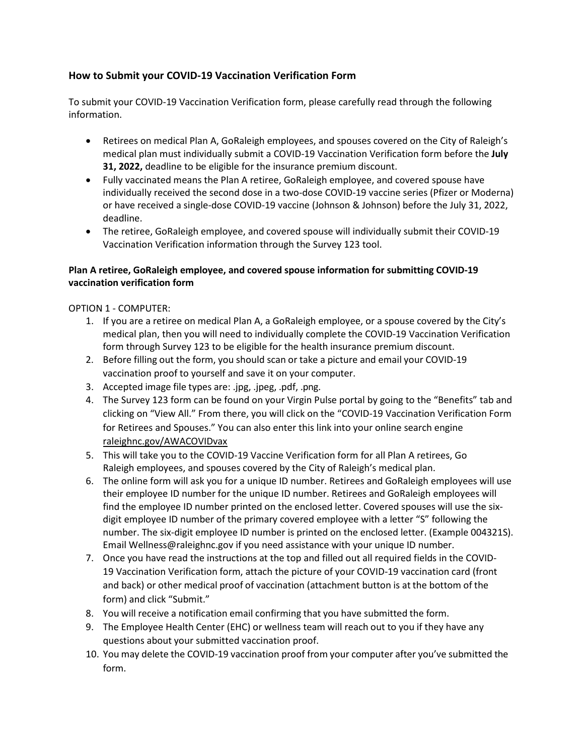# **How to Submit your COVID-19 Vaccination Verification Form**

To submit your COVID-19 Vaccination Verification form, please carefully read through the following information.

- Retirees on medical Plan A, GoRaleigh employees, and spouses covered on the City of Raleigh's medical plan must individually submit a COVID-19 Vaccination Verification form before the **July 31, 2022,** deadline to be eligible for the insurance premium discount.
- Fully vaccinated means the Plan A retiree, GoRaleigh employee, and covered spouse have individually received the second dose in a two-dose COVID-19 vaccine series (Pfizer or Moderna) or have received a single-dose COVID-19 vaccine (Johnson & Johnson) before the July 31, 2022, deadline.
- The retiree, GoRaleigh employee, and covered spouse will individually submit their COVID-19 Vaccination Verification information through the Survey 123 tool.

### **Plan A retiree, GoRaleigh employee, and covered spouse information for submitting COVID-19 vaccination verification form**

#### OPTION 1 - COMPUTER:

- 1. If you are a retiree on medical Plan A, a GoRaleigh employee, or a spouse covered by the City's medical plan, then you will need to individually complete the COVID-19 Vaccination Verification form through Survey 123 to be eligible for the health insurance premium discount.
- 2. Before filling out the form, you should scan or take a picture and email your COVID-19 vaccination proof to yourself and save it on your computer.
- 3. Accepted image file types are: .jpg, .jpeg, .pdf, .png.
- 4. The Survey 123 form can be found on your Virgin Pulse portal by going to the "Benefits" tab and clicking on "View All." From there, you will click on the "COVID-19 Vaccination Verification Form for Retirees and Spouses." You can also enter this link into your online search engine raleighnc.gov/AWACOVIDvax
- 5. This will take you to the COVID-19 Vaccine Verification form for all Plan A retirees, Go Raleigh employees, and spouses covered by the City of Raleigh's medical plan.
- 6. The online form will ask you for a unique ID number. Retirees and GoRaleigh employees will use their employee ID number for the unique ID number. Retirees and GoRaleigh employees will find the employee ID number printed on the enclosed letter. Covered spouses will use the sixdigit employee ID number of the primary covered employee with a letter "S" following the number. The six-digit employee ID number is printed on the enclosed letter. (Example 004321S). Email Wellness@raleighnc.gov if you need assistance with your unique ID number.
- 7. Once you have read the instructions at the top and filled out all required fields in the COVID-19 Vaccination Verification form, attach the picture of your COVID-19 vaccination card (front and back) or other medical proof of vaccination (attachment button is at the bottom of the form) and click "Submit."
- 8. You will receive a notification email confirming that you have submitted the form.
- 9. The Employee Health Center (EHC) or wellness team will reach out to you if they have any questions about your submitted vaccination proof.
- 10. You may delete the COVID-19 vaccination proof from your computer after you've submitted the form.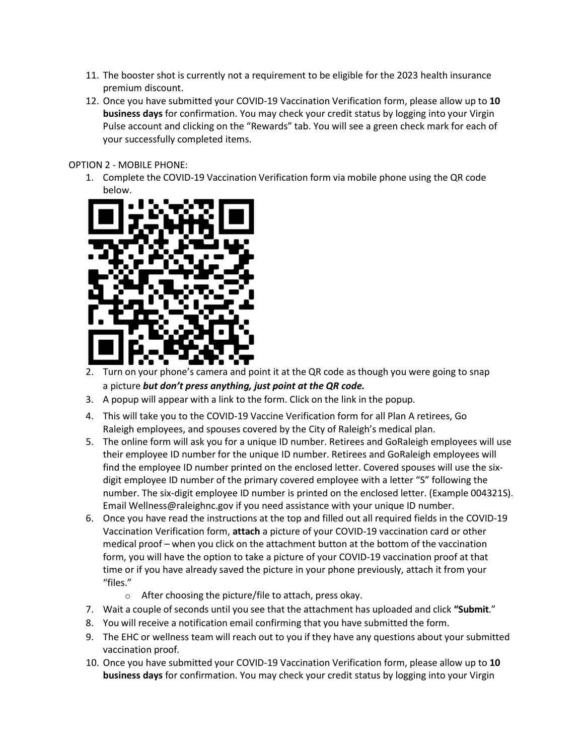- 11. The booster shot is currently not a requirement to be eligible for the 2023 health insurance premium discount.
- 12. Once you have submitted your COVID-19 Vaccination Verification form, please allow up to **10 business days** for confirmation. You may check your credit status by logging into your Virgin Pulse account and clicking on the "Rewards" tab. You will see a green check mark for each of your successfully completed items.

#### OPTION 2 - MOBILE PHONE:

1. Complete the COVID-19 Vaccination Verification form via mobile phone using the QR code below.



- 2. Turn on your phone's camera and point it at the QR code as though you were going to snap a picture *but don't press anything, just point at the QR code.*
- 3. A popup will appear with a link to the form. Click on the link in the popup.
- 4. This will take you to the COVID-19 Vaccine Verification form for all Plan A retirees, Go Raleigh employees, and spouses covered by the City of Raleigh's medical plan.
- 5. The online form will ask you for a unique ID number. Retirees and GoRaleigh employees will use their employee ID number for the unique ID number. Retirees and GoRaleigh employees will find the employee ID number printed on the enclosed letter. Covered spouses will use the sixdigit employee ID number of the primary covered employee with a letter "S" following the number. The six-digit employee ID number is printed on the enclosed letter. (Example 004321S). Email Wellness@raleighnc.gov if you need assistance with your unique ID number.
- 6. Once you have read the instructions at the top and filled out all required fields in the COVID-19 Vaccination Verification form, **attach** a picture of your COVID-19 vaccination card or other medical proof – when you click on the attachment button at the bottom of the vaccination form, you will have the option to take a picture of your COVID-19 vaccination proof at that time or if you have already saved the picture in your phone previously, attach it from your "files."
	- o After choosing the picture/file to attach, press okay.
- 7. Wait a couple of seconds until you see that the attachment has uploaded and click "Submit."
- 8. You will receive a notification email confirming that you have submitted the form.
- 9. The EHC or wellness team will reach out to you if they have any questions about your submitted vaccination proof.
- 10. Once you have submitted your COVID-19 Vaccination Verification form, please allow up to **10 business days** for confirmation. You may check your credit status by logging into your Virgin